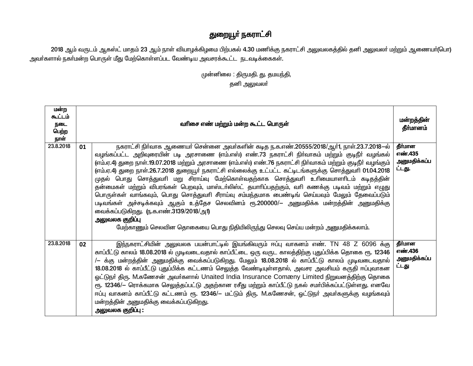## துறையூா் நகராட்சி

2018 ஆம் வருடம் ஆகஸ்ட் மாதம் 23 ஆம் நாள் வியாழக்கிழமை பிற்பகல் 4.30 மணிக்கு நகராட்சி அலுவலகத்தில் தனி அலுவலா் மற்றும் ஆணையா்(பொ) அவா்களால் நகா்மன்ற பொருள் மீது மேற்கொள்ளப்பட வேண்டிய அவசரக்கூட்ட நடவடிக்கைகள்.

> முன்னிலை : திருமதி. து. தமயந்தி, தனி அலுவலா்

| மன்ற<br>௷ட்டம்<br>நடை<br>பெற்ற<br>நாள் |    | வரிசை எண் மற்றும் மன்ற கூட்ட பொருள்                                                                                                                                                                                                                                                                                                                                                                                                                                                                                                                                                                                                                                                                                                                                                                                                                                                                                                                                       | மன்றத்தின்<br>தீா்மானம்                      |
|----------------------------------------|----|---------------------------------------------------------------------------------------------------------------------------------------------------------------------------------------------------------------------------------------------------------------------------------------------------------------------------------------------------------------------------------------------------------------------------------------------------------------------------------------------------------------------------------------------------------------------------------------------------------------------------------------------------------------------------------------------------------------------------------------------------------------------------------------------------------------------------------------------------------------------------------------------------------------------------------------------------------------------------|----------------------------------------------|
| 23.8.2018                              | 01 | நகராட்சி நிர்வாக ஆணையர் சென்னை அவர்களின் கடித ந.க.எண்.20555/2018/ஆர்1, நாள்.23.7.2018–ல்<br>வழங்கப்பட்ட அறிவுரையின் படி அரசாணை (எம்.எஸ்) எண்.73 நகராட்சி நிர்வாகம் மற்றும் குடிநீர் வழங்கல்<br>(எம்.ஏ.4) துறை நாள்.19.07.2018 மற்றும் அரசாணை (எம்.எஸ்) எண்.76 நகராட்சி நிர்வாகம் மற்றும் குடிநீர் வழங்கும்<br>(எம்.ஏ.4) துறை நாள்.26.7.2018 துறையூர் நகராட்சி எல்லைக்கு உட்பட்ட கட்டிடங்களுக்கு சொத்துவரி 01.04.2018<br>முதல் பொது சொத்துவரி மறு சிராய்வு மேற்கொள்வதற்காக சொத்துவரி உரிமையாளரிடம் கடிதத்தின்<br>தன்மைகள் மற்றும் விபரங்கள் பெறவும், மாஸ்டா்லிஸ்ட் தயாாிப்பதற்கும், வாி கணக்கு படிவம் மற்றும் எழுது<br>பொருள்கள் வாங்கவும், பொது சொத்துவரி சீராய்வு சம்மந்தமாக பைண்டிங் செய்யவும் மேலும் தேவைப்படும்<br>படிவங்கள் அச்சடிக்கவும் ஆகும் உத்தேச செலவினம் ரூ.200000/— அனுமதிக்க மன்றத்தின் அனுமதிக்கு<br>வைக்கப்படுகிறது. ரு.க.எண்.3139/2018/அ1)<br>அலுவலக குறி <b>ப்</b> பு<br>மேற்காணும் செலவின தொகையை பொது நிதியிலிருந்து செலவு செய்ய மன்றம் அனுமதிக்கலாம். | தீர்மான<br>எண்.435<br>அனுமதிக்கப்ப<br>ட்டது. |
| 23.8.2018                              | 02 | இந்நகராட்சியின் அலுவலக பயன்பாட்டில் இயங்கிவரும் ஈப்பு வாகனம் எண். TN 48 Z 6096 க்கு<br>காப்பீட்டு காலம் 18.08.2018 ல் முடிவடைவதால் காப்பீட்டை ஒரு வருட காலத்திற்கு புதுப்பிக்க தொகை ரூ. 12346<br>/— க்கு மன்றத்தின் அனுமதிக்கு வைக்கப்படுகிறது. மேலும் 18.08.2018 ல் காப்பீட்டு காலம் முடிவடைவதால்<br>18.08.2018 ல் காப்பீட்டு புதுப்பிக்க கட்டணம் செலுத்த வேண்டியுள்ளதால், அவசர அவசியம் கருதி ஈப்புவாகன<br>ஓட்டுநர் திரு. M.கணேசன் அவர்களால் Unaited India Insurance Comæny Limited நிறுவனத்திற்கு தொகை<br>ரூ. 12346/— ரொக்கமாக செலுத்தப்பட்டு அதற்கான ரசீது மற்றும் காப்பீட்டு நகல் சமா்பிக்கப்பட்டுள்ளது. எனவே<br>ஈப்பு வாகனம் காப்பீட்டு கட்டணம் ரூ. 12346/– மட்டும் திரு. M.கணேசன், ஓட்டுநா் அவா்களுக்கு வழங்கவும்<br>மன்றத்தின் அனுமதிக்கு வைக்கப்படுகிறது.<br>அலுவலக குறிப்பு :                                                                                                                                                                                    | தீர்மான<br>எண்.436<br>அனுமதிக்கப்ப<br>ட்டது  |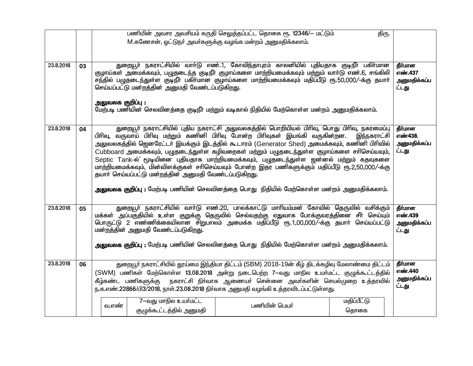|           |    |                                                                                                                                                                                                                                                                                                                                                                                                                                                                                                                                                                                                                                                                                                                                  | பணியின் அவசர அவசியம் கருதி செலுத்தப்பட்ட தொகை ரூ. 12346/— மட்டும் | திரு.               |                                             |  |  |  |
|-----------|----|----------------------------------------------------------------------------------------------------------------------------------------------------------------------------------------------------------------------------------------------------------------------------------------------------------------------------------------------------------------------------------------------------------------------------------------------------------------------------------------------------------------------------------------------------------------------------------------------------------------------------------------------------------------------------------------------------------------------------------|-------------------------------------------------------------------|---------------------|---------------------------------------------|--|--|--|
|           |    | M.கணேசன், ஓட்டுநா் அவா்களுக்கு வழங்க மன்றம் அனுமதிக்கலாம்.                                                                                                                                                                                                                                                                                                                                                                                                                                                                                                                                                                                                                                                                       |                                                                   |                     |                                             |  |  |  |
|           |    |                                                                                                                                                                                                                                                                                                                                                                                                                                                                                                                                                                                                                                                                                                                                  |                                                                   |                     |                                             |  |  |  |
| 23.8.2018 | 03 | துறையூா் நகராட்சியில் வாா்டு எண்.1, கோவிந்தாபுரம் காலனியில் புதியதாக குடிநீா் பகிா்மான<br>குழாய்கள் அமைக்கவும், பழுதடைந்த குடிநீா் குழாய்களை மாற்றியமைக்கவும் மற்றும் வாா்டு எண்.6, சங்கிலி<br>சந்தில் பழுதடைந்துள்ள குடிநீா் பகிா்மான குழாய்களை மாற்றியமைக்கவும் மதிப்பீடு ரூ.50,000/-க்கு தயாா்<br>செய்யப்பட்டு மன்றத்தின் அனுமதி வேண்டப்படுகிறது.<br>அலுவலக குறிப்பு :<br>மேற்படி பணியின் செலவினத்தை குடிநீா் மற்றும் வடிகால் நிதியில் மேற்கொள்ள மன்றம் அனுமதிக்கலாம்.                                                                                                                                                                                                                                                        |                                                                   |                     | தீர்மான<br>எண்.437<br>அனுமதிக்கப்ப<br>ட்டது |  |  |  |
| 23.8.2018 | 04 | துறையூா் நகராட்சியில் புதிய நகராட்சி அலுவலகத்தில் பொறியியல் பிாிவு, பொது பிாிவு, நகரமைப்பு<br>பிரிவு, வருவாய் பிரிவு மற்றும் கணினி பிரிவு போன்ற பிரிவுகள் இயங்கி வருகின்றன.<br>அலுவலகத்தில் ஜெனரேட்டர் இயக்கும் இடத்தில் கூடாரம் (Generator Shed) அமைக்கவும், கணினி பிரிவில்<br>Cubboard அமைக்கவும், பழுதடைந்துள்ள கழிவறைகள் மற்றும் பழுதடைந்துள்ள குழாய்களை சரிசெய்யவும்,<br>Septic Tank-ல் மூடியினை புதியதாக மாற்றியமைக்கவும், பழுதடைந்துள்ள ஜன்னல் மற்றும் கதவுகளை<br>மாற்றியமைக்கவும், மின்விளக்குகள் சாிசெய்யவும் போன்ற இதர பணிகளுக்கும் மதிப்பீடு ரூ.2,50,000/-க்கு<br>தயார் செய்யப்பட்டு மன்றத்தின் அனுமதி வேண்டப்படுகிறது.<br>அலுவலக குறிப்பு : மேற்படி பணியின் செலவினத்தை பொது நிதியில் மேற்கொள்ள மன்றம் அனுமதிக்கலாம். |                                                                   | இந்நகராட்சி         | தீர்மான<br>எண்438.<br>அனுமதிக்கப்ப<br>ட்டது |  |  |  |
| 23.8.2018 | 05 | துறையூா் நகராட்சியில் வாா்டு எண்.20, பாலக்காட்டு மாாியம்மன் கோவில் தெருவில் வசிக்கும்<br>மக்கள் அப்பகுதியில் உள்ள குறுக்கு தெருவில் செல்வதற்கு ஏதுவாக போக்குவரத்தினை சீா் செய்யும்<br>பொருட்டு 2 எண்ணிக்கையிலான சிறுபாலம் அமைக்க மதிப்பீடு ரூ.1,00,000/-க்கு தயாா் செய்யப்பட்டு<br>மன்றத்தின் அனுமதி வேண்டப்படுகிறது.<br><mark>அலுவலக குறிப்பு :</mark> மேற்படி பணியின் செலவினத்தை பொது நிதியில் மேற்கொள்ள மன்றம் அனுமதிக்கலாம்.                                                                                                                                                                                                                                                                                                 |                                                                   |                     | தீர்மான<br>எண்.439<br>அனுமதிக்கப்ப<br>ட்டது |  |  |  |
| 23.8.2018 | 06 | தீர்மான<br>துறையூர் நகராட்சியில் தூய்மை இந்தியா திட்டம் (SBM) 2018-19ன் கீழ் திடக்கழிவு மேலாண்மை திட்டம்<br>எண்.440<br>(SWM) பணிகள் மேற்கொள்ள 13.08.2018 அன்று நடைபெற்ற 7-வது மாநில உயர்மட்ட குழுக்கூட்டத்தில்<br>அனுமதிக்கப்ப<br>கீழ்கண்ட பணிகளுக்கு நகராட்சி நிா்வாக ஆணையா் சென்னை அவா்களின் செயல்முறை உத்தரவில்<br>ட்டது<br>ந.க.எண்.22866/பி3/2018, நாள்.23.08.2018 நிர்வாக அனுமதி வழங்கி உத்தரவிடப்பட்டுள்ளது.                                                                                                                                                                                                                                                                                                               |                                                                   |                     |                                             |  |  |  |
|           |    | 7-வது மாநில உயர்மட்ட<br>வ.எண்<br>குழுக்கூட்டத்தில் அனுமதி                                                                                                                                                                                                                                                                                                                                                                                                                                                                                                                                                                                                                                                                        | பணியின் பெயர்                                                     | மதிப்பீட்டு<br>தொகை |                                             |  |  |  |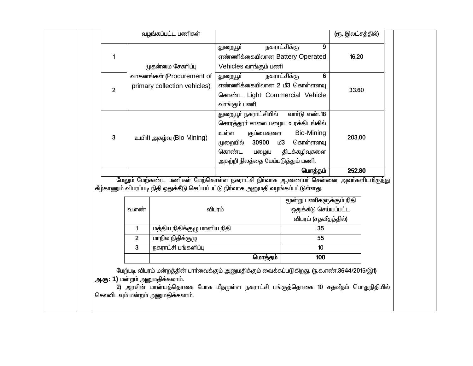|                |                | வழங்கப்பட்ட பணிகள்                                                 |                                                                                                                                                                                |                                                                           | (ரூ. இலட்சத்தில்) |  |
|----------------|----------------|--------------------------------------------------------------------|--------------------------------------------------------------------------------------------------------------------------------------------------------------------------------|---------------------------------------------------------------------------|-------------------|--|
| 1              |                | முதன்மை சேகரிப்பு                                                  | துறையூ <b>ர்</b><br>எண்ணிக்கையிலான Battery Operated<br>Vehicles வாங்கும் பணி                                                                                                   | நகராட்சிக்கு<br>9                                                         | 16.20             |  |
| $\overline{2}$ |                | வாகனங்கள் (Procurement of<br>primary collection vehicles)          | துறையூா்<br>எண்ணிக்கையிலான 2 மீ3 கொள்ளளவு<br>கொண்ட Light Commercial Vehicle<br>வாங்கும் பணி                                                                                    | நகராட்சிக்கு<br>6                                                         | 33.60             |  |
| 3              |                | உயிரி அகழ்வு (Bio Mining)                                          | துறையூா் நகராட்சியில் வாா்டு எண்.18<br>சொரத்தூர் சாலை பழைய உரக்கிடங்கில்<br>உள்ள<br>குப்பைகளை<br>30900<br>முறையில்<br>கொண்ட<br>பழைய<br>அகற்றி நிலத்தை மேம்படுத்தும் பணி.       | Bio-Mining<br>மீ3<br>கொள்ளளவு<br>திடக்கழிவுகளை                            | 203.00            |  |
|                |                |                                                                    | மேலும் மேற்கண்ட பணிகள் மேற்கொள்ள நகராட்சி நிா்வாக ஆணையா் சென்னை அவா்களிடமிருந்து                                                                                               | மொத்தம்                                                                   | 252.80            |  |
|                |                |                                                                    | கீழ்காணும் விபரப்படி நிதி ஒதுக்கீடு செய்யப்பட்டு நிர்வாக அனுமதி வழங்கப்பட்டுள்ளது.                                                                                             |                                                                           |                   |  |
|                | வ.எண்          |                                                                    | விபரம்                                                                                                                                                                         | மூன்று பணிகளுக்கும் நிதி<br>ஒதுக்கீடு செய்யப்பட்ட<br>விபரம் (சதவீதத்தில்) |                   |  |
|                | $\mathbf{1}$   | மத்திய நிதிக்குழு மானிய நிதி                                       |                                                                                                                                                                                | 35                                                                        |                   |  |
|                | $\overline{2}$ | மாநில நிதிக்குழு                                                   |                                                                                                                                                                                | 55                                                                        |                   |  |
|                | $\overline{3}$ | நகராட்சி பங்களிப்பு                                                | மொத்தம்                                                                                                                                                                        | $\overline{10}$<br>100                                                    |                   |  |
|                |                | அ.கு: 1) மன்றம் அனுமதிக்கலாம்.<br>செலவிடவும் மன்றம் அனுமதிக்கலாம். | மேற்படி விபரம் மன்றத்தின் பார்வைக்கும் அனுமதிக்கும் வைக்கப்படுகிறது. (ந.க.எண்.3644/2015/இ1)<br>2) அரசின் மான்யத்தொகை போக மீதமுள்ள நகராட்சி பங்குத்தொகை 10 சதவீதம் பொதுநிதியில் |                                                                           |                   |  |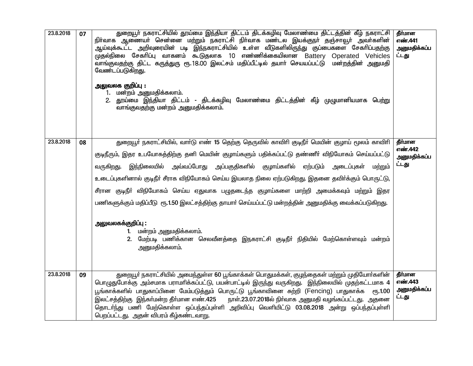| 23.8.2018 | 07 | துறையூர் நகராட்சியில் தூய்மை இந்தியா திட்டம் திடக்கழிவு மேலாண்மை திட்டத்தின் கீழ் நகராட்சி<br>நிா்வாக ஆணையா் சென்னை மற்றும் நகராட்சி நிா்வாக மண்டல இயக்குநா் தஞ்சாவூா் அவா்களின்<br>ஆய்வுக்கூட்ட அறிவுரையின் படி இந்நகராட்சியில் உள்ள வீடுகளிலிருந்து குப்பைகளை சேகரிப்பதற்கு<br>முதல்நிலை சேகரிப்பு வாகனம் கூடுதலாக 10 எண்ணிக்கையிலான Battery Operated Vehicles<br>வாங்குவதற்கு திட்ட கருத்துரு ரூ.18.00 இலட்சம் மதிப்பீட்டில் தயாா் செயயப்பட்டு மன்றத்தின் அனுமதி<br>வேண்டப்படுகி <u>றது</u> .<br>அலுவலக குறிப்பு :<br>1. மன்றம் அனுமதிக்கலாம்.<br>2. தூய்மை இந்தியா திட்டம் - திடக்கழிவு மேலாண்மை திட்டத்தின் கீழ் முழுமானியமாக பெற்று<br>வாங்குவதற்கு மன்றம் அனுமதிக்கலாம்.                                                                                          | தீர்மான<br>எண்.441<br>அனுமதிக்கப்ப<br>ட்டது |
|-----------|----|--------------------------------------------------------------------------------------------------------------------------------------------------------------------------------------------------------------------------------------------------------------------------------------------------------------------------------------------------------------------------------------------------------------------------------------------------------------------------------------------------------------------------------------------------------------------------------------------------------------------------------------------------------------------------------------------------------------------------------------------------------------------------|---------------------------------------------|
| 23.8.2018 | 08 | துறையூா் நகராட்சியில், வாா்டு எண் 15 தெற்கு தெருவில் காவிாி குடிநீா் மெயின் குழாய் மூலம் காவிாி<br>குடிநீரும், இதர உபயோகத்திற்கு தனி மெயின் குழாய்களும் பதிக்கப்பட்டு தண்ணீா் விநியோகம் செய்யப்பட்டு<br>இந்நிலையில் அவ்வப்போது அப்பகுதிகளில் குழாய்களில் ஏற்படும்<br>வருகிறது.<br>அடைப்புகள்<br>மற்றும்<br>உடைப்புகளினால் குடிநீா் சீராக விநியோகம் செய்ய இயலாத நிலை ஏற்படுகிறது. இதனை தவிா்க்கும் பொருட்டு,<br>சீரான குடிநீா் விநியோகம் செய்ய ஏதுவாக பழுதடைந்த குழாய்களை மாற்றி அமைக்கவும் மற்றும் இதர<br>பணிகளுக்கும் மதிப்பீடு ரூ.1.50 இலட்சத்திற்கு தாயார் செய்யப்பட்டு மன்றத்தின் அனுமதிக்கு வைக்கப்படுகிறது.<br>அலுவலகக்குறிப்பு :<br>1. மன்றம் அனுமதிக்கலாம்.<br>2. மேற்படி பணிக்கான செலவீனத்தை இநகராட்சி குடிநீா் நிதியில் மேற்கொள்ளவும் மன்றம்<br>அனுமதிக்கலாம். | தீர்மான<br>எண்.442<br>அனுமதிக்கப்ப<br>ட்டது |
| 23.8.2018 | 09 | துறையூர் நகராட்சியில் அமைந்துள்ள 60 பூங்காக்கள் பொதுமக்கள், குழந்தைகள் மற்றும் முதியோர்களின்<br>பொழுதுபோக்கு அம்சமாக பராமாிக்கப்பட்டு, பயன்பாட்டில் இருந்து வருகிறது. இந்நிலையில் முதற்கட்டமாக 4<br>பூங்காக்களில் பாதுகாப்பினை மேம்படுத்தும் பொருட்டு பூங்காவினை சுற்றி (Fencing) பாதுகாக்க ரூ.1.00<br>இலட்சத்திற்கு இந்கா்மன்ற தீா்மான எண்.425<br>நாள்.23.07.2018ல் நிர்வாக அனுமதி வழங்கப்பட்டது. அதனை<br>தொடர்ந்து பணி மேற்கொள்ள ஒப்பந்தப்புள்ளி அறிவிப்பு வெளியிட்டு 03.08.2018 அன்று ஒப்பந்தப்புள்ளி<br>பெறப்பட்டது. அதன் விபரம் கீழ்கண்டவாறு.                                                                                                                                                                                                                       | தீர்மான<br>எண்.443<br>அனுமதிக்கப்ப<br>ட்டது |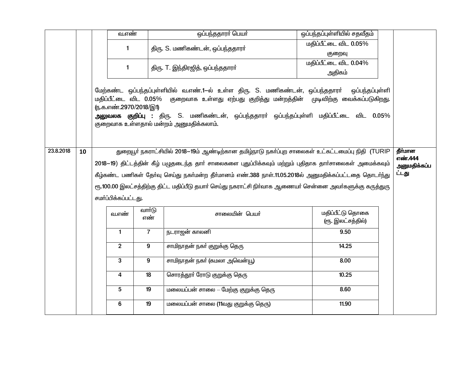|           |    | வ.எண்                  |                 | ஒப்பந்ததாரா் பெயா்                                                                                                                                                                                                                                                                                                              | ஒப்பந்தப்புள்ளியில் சதவீதம்           |                       |
|-----------|----|------------------------|-----------------|---------------------------------------------------------------------------------------------------------------------------------------------------------------------------------------------------------------------------------------------------------------------------------------------------------------------------------|---------------------------------------|-----------------------|
|           |    | $\mathbf{1}$           |                 | திரு. S. மணிகண்டன், ஒப்பந்ததாரர்                                                                                                                                                                                                                                                                                                | மதிப்பீட்டை விட 0.05%                 |                       |
|           |    |                        |                 |                                                                                                                                                                                                                                                                                                                                 | குறைவு                                |                       |
|           |    | $\mathbf{1}$           |                 | திரு. T. இந்திரஜித், ஒப்பந்ததாரா்                                                                                                                                                                                                                                                                                               | மதிப்பீட்டை விட 0.04%                 |                       |
|           |    |                        |                 |                                                                                                                                                                                                                                                                                                                                 | அதிகம்                                |                       |
|           |    | (ந.க.எண்.2970/2018/இ1) |                 | மேற்கண்ட ஒப்பந்தப்புள்ளியில் வ.எண்.1-ல் உள்ள திரு. S. மணிகண்டன், ஒப்பந்ததாரர்<br>மதிப்பீட்டை விட 0.05% குறைவாக உள்ளது ஏற்பது குறித்து மன்றத்தின் முடிவிற்கு வைக்கப்படுகிறது.<br><mark>அலுவலக குறிப்பு :</mark> திரு. S. மணிகண்டன், ஒப்பந்ததாரா் ஒப்பந்தப்புள்ளி மதிப்பீட்டை விட 0.05%<br>குறைவாக உள்ளதால் மன்றம் அனுமதிக்கலாம். | ஒப்பந்தப்புள்ளி                       |                       |
| 23.8.2018 | 10 |                        |                 | துறையூர் நகராட்சியில் 2018–19ம் ஆண்டிற்கான தமிழ்நாடு நகர்ப்புற சாலைகள் உட்கட்டமைப்பு நிதி (TURIP                                                                                                                                                                                                                                |                                       | தீர்மான               |
|           |    |                        |                 | 2018–19) திட்டத்தின் கீழ் பழுதடைந்த தார் சாலைகளை புதுப்பிக்கவும் மற்றும் புதிதாக தார்சாலைகள் அமைக்கவும்                                                                                                                                                                                                                         |                                       | எண்.444               |
|           |    |                        |                 | கீழ்கண்ட பணிகள் தேர்வு செய்து நகர்மன்ற தீர்மானம் எண்.388 நாள்.11.05.2018ல் அனுமதிக்கப்பட்டதை தொடர்ந்து                                                                                                                                                                                                                          |                                       | அனுமதிக்கப்ப<br>ட்டது |
|           |    |                        |                 |                                                                                                                                                                                                                                                                                                                                 |                                       |                       |
|           |    |                        |                 | ரூ.100.00 இலட்சத்திற்கு திட்ட மதிப்பீடு தயாா் செய்து நகராட்சி நிா்வாக ஆணையா் சென்னை அவா்களுக்கு கருத்துரு                                                                                                                                                                                                                       |                                       |                       |
|           |    | சமர்ப்பிக்கப்பட்டது.   |                 |                                                                                                                                                                                                                                                                                                                                 |                                       |                       |
|           |    | வ.எண்                  | வார்டு<br>எண்   | சாலையின் பெயர்                                                                                                                                                                                                                                                                                                                  | மதிப்பீட்டு தொகை<br>(ரூ. இலட்சத்தில்) |                       |
|           |    | $\mathbf{1}$           | $\overline{7}$  | நடராஜன் காலனி                                                                                                                                                                                                                                                                                                                   | 9.50                                  |                       |
|           |    | $\overline{2}$         | 9               | சாமிநாதன் நகா் குறுக்கு தெரு                                                                                                                                                                                                                                                                                                    | 14.25                                 |                       |
|           |    | 3                      | 9               | சாமிநாதன் நகா் (கமலா அவென்யூ)                                                                                                                                                                                                                                                                                                   | 8.00                                  |                       |
|           |    | 4                      | 18              | சொரத்தூா் ரோடு குறுக்கு தெரு                                                                                                                                                                                                                                                                                                    | 10.25                                 |                       |
|           |    | $5\phantom{.0}$        | $\overline{19}$ | மலையப்பன் சாலை — மேற்கு குறுக்கு தெரு                                                                                                                                                                                                                                                                                           | 8.60                                  |                       |
|           |    | 6                      | $\overline{19}$ | மலையப்பன் சாலை (11வது குறுக்கு தெரு)                                                                                                                                                                                                                                                                                            | 11.90                                 |                       |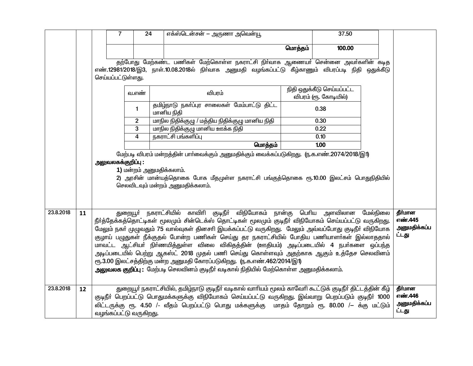|           |    |                    | $\overline{7}$           | 24 | எக்ஸ்டென்சன் — அருணா அவென்யூ                                                                                                                                                            |         | 37.50                      |                    |
|-----------|----|--------------------|--------------------------|----|-----------------------------------------------------------------------------------------------------------------------------------------------------------------------------------------|---------|----------------------------|--------------------|
|           |    |                    |                          |    |                                                                                                                                                                                         | மொத்தம் | 100.00                     |                    |
|           |    |                    |                          |    |                                                                                                                                                                                         |         |                            |                    |
|           |    |                    |                          |    | தற்போது மேற்கண்ட பணிகள் மேற்கொள்ள நகராட்சி நிர்வாக ஆணையர் சென்னை அவர்களின் கடித<br>எண்.12981/2018/இ3, நாள்.10.08.2018ல் நிா்வாக அனுமதி வழங்கப்பட்டு கீழ்காணும் விபரப்படி நிதி ஒதுக்கீடு |         |                            |                    |
|           |    | செய்யப்பட்டுள்ளது. |                          |    |                                                                                                                                                                                         |         |                            |                    |
|           |    |                    |                          |    |                                                                                                                                                                                         |         | நிதி ஒதுக்கீடு செய்யப்பட்ட |                    |
|           |    |                    | வ.எண்                    |    | விபரம்                                                                                                                                                                                  |         | விபரம் (ரூ. கோடியில்)      |                    |
|           |    |                    | $\mathbf{1}$             |    | தமிழ்நாடு நகா்ப்புர சாலைகள் மேம்பாட்டு திட்ட<br>மானிய நிதி                                                                                                                              |         | 0.38                       |                    |
|           |    |                    | $\overline{2}$           |    | மாநில நிதிக்குழு / மத்திய நிதிக்குழு மானிய நிதி                                                                                                                                         |         | 0.30                       |                    |
|           |    |                    | 3                        |    | மாநில நிதிக்குழு மானிய ஊக்க நிதி                                                                                                                                                        |         | 0.22                       |                    |
|           |    |                    | 4                        |    | நகராட்சி பங்களிப்பு                                                                                                                                                                     |         | 0.10                       |                    |
|           |    |                    |                          |    | மொத்தம்                                                                                                                                                                                 |         | 1.00                       |                    |
|           |    |                    |                          |    | மேற்படி விபரம் மன்றத்தின் பார்வைக்கும் அனுமதிக்கும் வைக்கப்படுகிறது. (ந.க.எண்.2074/2018/இ1)                                                                                             |         |                            |                    |
|           |    | அலுவலகக்குறிப்பு : | 1) மன்றம் அனுமதிக்கலாம். |    |                                                                                                                                                                                         |         |                            |                    |
|           |    |                    |                          |    | 2) அரசின் மான்யத்தொகை போக மீதமுள்ள நகராட்சி பங்குத்தொகை ரூ.10.00 இலட்சம் பொதுநிதியில்                                                                                                   |         |                            |                    |
|           |    |                    |                          |    | செலவிடவும் மன்றம் அனுமதிக்கலாம்.                                                                                                                                                        |         |                            |                    |
|           |    |                    |                          |    |                                                                                                                                                                                         |         |                            |                    |
|           |    |                    |                          |    |                                                                                                                                                                                         |         |                            |                    |
| 23.8.2018 | 11 |                    |                          |    | துறையூா் நகராட்சியில் காவிாி குடிநீா் விநியோகம் நான்கு பொிய அளவிலான மேல்நிலை                                                                                                            |         |                            | தீர்மான            |
|           |    |                    |                          |    | நீா்த்தேக்கத்தொட்டிகள் மூலமும் சின்டெக்ஸ் தொட்டிகள் மூலமும் குடிநீா் விநியோகம் செய்யப்பட்டு வருகிறது.                                                                                   |         |                            | எண்.445            |
|           |    |                    |                          |    | மேலும் நகர் முழுவதும் 75 வால்வுகள் தினசரி இயக்கப்பட்டு வருகிறது. மேலும் அவ்வப்போது குடிநீர் விநியோக                                                                                     |         |                            | அனுமதிக்கப்ப       |
|           |    |                    |                          |    | குழாய் பழுதுகள் நீக்குதல் போன்ற பணிகள் செய்து தர நகராட்சியில் போதிய பணியாளா்கள் இல்லாததால்                                                                                              |         |                            | ட்டது              |
|           |    |                    |                          |    | மாவட்ட ஆட்சியா் நிா்ணயித்துள்ள விலை விகிதத்தின் (ஊதியம்) அடிப்படையில் 4 நபா்களை ஒப்பந்த                                                                                                 |         |                            |                    |
|           |    |                    |                          |    | அடிப்படையில் பெற்று ஆகஸ்ட் 2018 முதல் பணி செய்து கொள்ளவும் அதற்காக ஆகும் உத்தேச செலவினம்                                                                                                |         |                            |                    |
|           |    |                    |                          |    | ரூ.3.00 இலட்சத்திற்கு மன்ற அனுமதி கோரப்படுகிறது. (ந.க.எண்.462/2014/இ1)                                                                                                                  |         |                            |                    |
|           |    |                    |                          |    | அலுவலக குறிப்பு: மேற்படி செலவினம் குடிநீர் வடிகால் நிதியில் மேற்கொள்ள அனுமதிக்கலாம்.                                                                                                    |         |                            |                    |
|           |    |                    |                          |    |                                                                                                                                                                                         |         |                            |                    |
| 23.8.2018 | 12 |                    |                          |    | துறையூர் நகராட்சியில், தமிழ்நாடு குடிநீர் வடிகால் வாரியம் மூலம் காவேரி கூட்டுக் குடிநீர் திட்டத்தின் கீழ்                                                                               |         |                            | தீர்மான<br>எண்.446 |
|           |    |                    |                          |    | குடிநீா் பெறப்பட்டு பொதுமக்களுக்கு விநியோகம் செய்யப்பட்டு வருகிறது. இவ்வாறு பெறப்படும் குடிநீா் 1000                                                                                    |         |                            | அனுமதிக்கப்ப       |
|           |    |                    | வழங்கப்பட்டு வருகிறது.   |    | லிட்டருக்கு ரூ. 4.50 /- வீதம் பெறப்பட்டு பொது மக்களுக்கு மாதம் தோறும் ரூ. 80.00 /– க்கு மட்டும்                                                                                         |         |                            | ட்டது              |
|           |    |                    |                          |    |                                                                                                                                                                                         |         |                            |                    |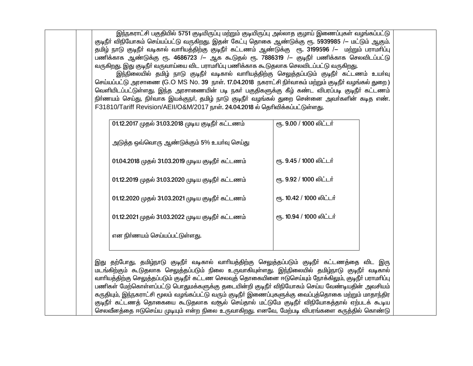இந்நகராட்சி பகுதியில் 5751 குடியிருப்பு மற்றும் குடியிருப்பு அல்லாத குழாய் இணைப்புகள் வழங்கப்பட்டு குடிநீா் விநியோகம் செய்யப்பட்டு வருகிறது. இதன் கேட்பு தொகை ஆண்டுக்கு ரூ. 5939985 /– மட்டும் ஆகும். தமிழ் நாடு குடிநீா் வடிகால் வாாியத்திற்கு குடிநீா் கட்டணம் ஆண்டுக்கு ரூ. 3199596 /— மற்றும் பராமாிப்பு பணிக்காக ஆண்டுக்கு ரூ. 4686723 /– ஆக கூடுதல் ரூ. 7886319 /– குடிநீர் பணிக்காக செலவிடப்பட்டு வருகிறது. இது குடிநீர் வருவாய்யை விட பராமரிப்பு பணிக்காக கூடுதலாக செலவிடப்பட்டு வருகிறது.

.<br>இந்நிலையில் தமிழ் நாடு குடிநீா் வடிகால் வாாியத்திற்கு செலுத்தப்படும் குடிநீா் கட்டணம் உயாவு செய்யப்பட்டு அரசாணை (G.O MS No. 39 நாள். 17.04.2018 நகராட்சி நிர்வாகம் மற்றும் குடிநீர் வழங்கல் துறை ) வெளியிடப்பட்டுள்ளது. இந்த அரசாணையின் படி நகர் பகுதிகளுக்கு கீழ் கண்ட விபரப்படி குடிநீர் கட்டணம் நிர்ணயம் செய்து, நிர்வாக இயக்குநர், தமிழ் நாடு குடிநீர் வழங்கல் துறை சென்னை அவர்களின் கடித எண். F31810/Tariff Revision/AEII/O&M/2017 நாள். 24.04.2018 ல் தெரிவிக்கப்பட்டுள்ளது.

| 01.12.2017 முதல் 31.03.2018 முடிய குடிநீா் கட்டணம் | ரு. 9.00 / 1000 லிட்டர்  |
|----------------------------------------------------|--------------------------|
| அடுத்த ஒவ்வொரு ஆண்டுக்கும் 5% உயா்வு செய்து        |                          |
| 01.04.2018 முதல் 31.03.2019 முடிய குடிநீர் கட்டணம் | ரு. 9.45 / 1000 லிட்டர்  |
| 01.12.2019 முதல் 31.03.2020 முடிய குடிநீா் கட்டணம் | ரு. 9.92 / 1000 லிட்டர்  |
| 01.12.2020 முதல் 31.03.2021 முடிய குடிநீர் கட்டணம் | ரூ. 10.42 / 1000 லிட்டர் |
| 01.12.2021 முதல் 31.03.2022 முடிய குடிநீா் கட்டணம் | ரூ. 10.94 / 1000 லிட்டர் |
| என நிா்ணயம் செய்யப்பட்டுள்ளது.                     |                          |
|                                                    |                          |

இது தற்போது, தமிழ்நாடு குடிநீா் வடிகால் வாாியத்திற்கு செலுத்தப்படும் குடிநீா் கட்டணத்தை விட இரு மடங்கிற்கும் கூடுதலாக செலுத்தப்படும் நிலை உருவாகியுள்ளது. இந்நிலையில் தமிழ்நாடு குடிநீா் வடிகால் வாரியத்திற்கு செலுத்தப்படும் குடிநீா் கட்டண செலவுத் தொகையினை ஈடுசெய்யும் நோக்கிலும், குடிநீா் பராமாிப்பு பணிகள் மேற்கொள்ளப்பட்டு பொதுமக்களுக்கு தடையின்றி குடிநீர் விநியோகம் செய்ய வேண்டியதின் அவசியம் கருதியும், இந்நகராட்சி மூலம் வழங்கப்பட்டு வரும் குடிநீர் இணைப்புகளுக்கு வைப்புத்தொகை மற்றும் மாதாந்திர குடிநீா் கட்டணத் தொகையை கூடுதலாக வரூல் செய்தால் மட்டுமே குடிநீா் விநியோகத்தால் ஏற்படக் கூடிய செலவீனத்தை ஈடுசெய்ய முடியும் என்ற நிலை உருவாகிறது. எனவே, மேற்படி விபரங்களை கருத்தில் கொண்டு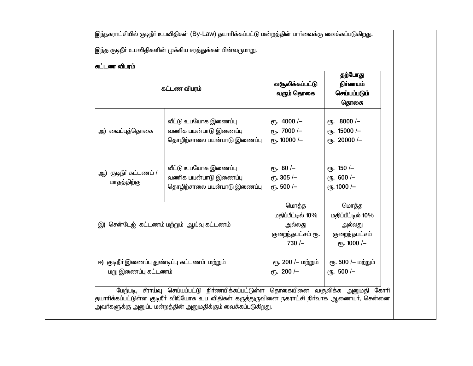| <u>கட்டண விபரம்</u>                                                   | கட்டண விபரம்                                                                 | வசூலிக்கப்பட்டு<br>வரும் தொகை                                        | தற்போது<br>நிர்ணயம்<br>செய்யப்படும்<br>தொகை                           |
|-----------------------------------------------------------------------|------------------------------------------------------------------------------|----------------------------------------------------------------------|-----------------------------------------------------------------------|
| அ) வைப்புத்தொகை                                                       | வீட்டு உபயோக இணைப்பு<br>வணிக பயன்பாடு இணைப்பு<br>தொழிற்சாலை பயன்பாடு இணைப்பு | $\epsilon$ гђ. 4000/-<br>еть. 7000 /-<br>$e$ гђ. 10000 /-            | ரூ. 8000 /-<br>еть. 15000 /-<br>$e$ п <sub>5</sub> . 20000 /-         |
| ஆ) குடிநீர் கட்டணம் /<br>மாதத்திற்கு                                  | வீட்டு உபயோக இணைப்பு<br>வணிக பயன்பாடு இணைப்பு<br>தொழிற்சாலை பயன்பாடு இணைப்பு | $\epsilon$ гђ. 80 /-<br>ет. 305 /-<br>еть. 500 /-                    | $\epsilon$ гђ. 150 /-<br>$e$ гђ. 600 /-<br>$\epsilon$ гђ. 1000 /-     |
|                                                                       | இ) சென்டேஜ் கட்டணம் மற்றும் ஆய்வு கட்டணம்                                    | மொத்த<br>மதிப்பீட்டில் 10%<br>அல்லது<br>குறைந்தபட்சம் ரூ.<br>$730/-$ | மொத்த<br>மதிப்பீட்டில் 10%<br>அல்லது<br>குறைந்தபட்சம்<br>еть. 1000 /- |
| ஈ) குடிநீா் இணைப்பு துண்டிப்பு கட்டணம் மற்றும்<br>மறு இணைப்பு கட்டணம் |                                                                              | ரூ. 200 /– மற்றும்<br>еть. 200 /-                                    | ரூ. 500 /– மற்றும்<br>еть. 500 /-                                     |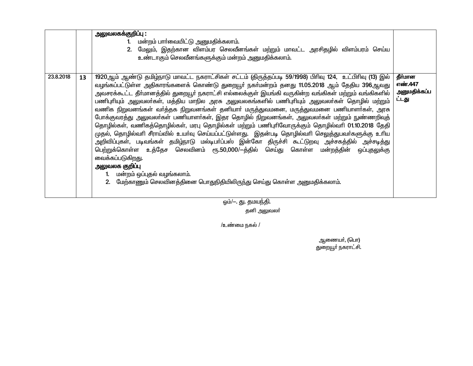|           |    | <u>அலுவலகக்குறிப்பு :</u><br>1. மன்றம் பார்வையிட்டு அனுமதிக்கலாம்.<br>2. மேலும், இதற்கான விளம்பர செலவீனங்கள் மற்றும் மாவட்ட அரசிதழில் விளம்பரம் செய்ய<br>உண்டாகும் செலவீனங்களுக்கும் மன்றம் அனுமதிக்கலாம்.                                                                                                                                                                                                                                                                                                                                                                                                                                                                                                                                                                                                                                                                                                                                                                                                                                                                                                                                                          |                                             |
|-----------|----|---------------------------------------------------------------------------------------------------------------------------------------------------------------------------------------------------------------------------------------------------------------------------------------------------------------------------------------------------------------------------------------------------------------------------------------------------------------------------------------------------------------------------------------------------------------------------------------------------------------------------------------------------------------------------------------------------------------------------------------------------------------------------------------------------------------------------------------------------------------------------------------------------------------------------------------------------------------------------------------------------------------------------------------------------------------------------------------------------------------------------------------------------------------------|---------------------------------------------|
| 23.8.2018 | 13 | 1920ஆம் ஆண்டு தமிழ்நாடு மாவட்ட நகராட்சிகள் சட்டம் (திருத்தப்படி 59/1998) பிரிவு 124, உட்பிரிவு (13) இல்<br>வழங்கப்பட்டுள்ள அதிகாரங்களைக் கொண்டு துறையூர் நகர்மன்றம் தனது 11.05.2018 ஆம் தேதிய 396ஆவது<br>அவசரக்கூட்ட தீா்மானத்தில் துறையூா் நகராட்சி எல்லைக்குள் இயங்கி வருகின்ற வங்கிகள் மற்றும் வங்கிகளில்<br>பணிபுரியும் அலுவலா்கள், மத்திய மாநில அரசு அலுவலகங்களில் பணிபுரியும் அலுவலா்கள் தொழில் மற்றும்<br>வணிக நிறுவனங்கள் வர்த்தக நிறுவனங்கள் தனியார் மருத்துவமனை, மருத்துவமனை பணியாளர்கள், அரசு<br>போக்குவரத்து அலுவலா்கள் பணியாளா்கள், இதர தொழில் நிறுவனங்கள், அலுவலா்கள் மற்றும் நுண்ணறிவுத்<br>தொழில்கள், வணிகத்தொழில்கள், மரபு தொழில்கள் மற்றும் பணிபுரிவோருக்கும் தொழில்வரி 01.10.2018 தேதி<br>முதல், தொழில்வாி சீராய்வில் உயா்வு செய்யப்பட்டுள்ளது. இதன்படி தொழில்வாி செலுத்துபவா்களுக்கு உாிய<br>அறிவிப்புகள், படிவங்கள் தமிழ்நாடு மல்டிபா்ப்பஸ் இன்கோ திருச்சி கூட்டுறவு அச்சகத்தில் அச்சடித்து<br>பெற்றுக்கொள்ள உத்தேச செலவினம் ரூ.50,000/-த்தில் செய்து கொள்ள மன்றத்தின் ஒப்புதலுக்கு<br>வைக்கப்படுகிறது.<br>அலுவலக குறி <b>ப்</b> பு<br>மன்றம் ஒப்புதல் வழங்கலாம்.<br>2. மேற்காணும் செலவினத்தினை பொதுநிதியிலிருந்து செய்து கொள்ள அனுமதிக்கலாம். | தீர்மான<br>எண்.447<br>அனுமதிக்கப்ப<br>ட்டது |
|           |    | $\sim$ $\sim$ $\sim$ $\sim$ $\sim$ $\sim$ $\sim$ $\sim$                                                                                                                                                                                                                                                                                                                                                                                                                                                                                                                                                                                                                                                                                                                                                                                                                                                                                                                                                                                                                                                                                                             |                                             |

ஒம்/–. து. தமயந்தி.

தனி அலுவலா்

 $/$ உண்மை நகல்  $/$ 

 $\Delta \mathcal{B} = \mathcal{B}$ துணையா, (பொ $\mathcal{B}$ துறையூர் நகராட்சி.<br>துறையூர் நகராட்சி.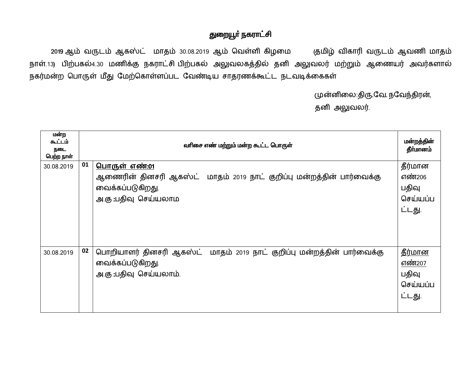## துறையூா் நகராட்சி

2019 ஆம் வருடம் ஆகஸ்ட் மாதம் 30.08.2019 ஆம் வெள்ளி கிழமை குமிழ் விகாரி வருடம் ஆவணி மாதம் நாள்.13) பிற்பகல்4.30 மணிக்கு நகராட்சி பிற்பகல் அலுவலகத்தில் தனி அலுவலர் மற்றும் ஆணையர் அவர்களால் நகர்மன்ற பொருள் மீது மேற்கொள்ளப்பட வேண்டிய சாதரணக்கூட்ட நடவடிக்கைகள்

முன்னிலை:திரு.வே. நவேந்திரன்,

தனி அலுவலர்.

| மன்ற<br>கூட்டம்<br>நடை<br>பெற்ற நாள் |    | வரிசை எண் மற்றும் மன்ற கூட்ட பொருள்                                                                                                       | மன்றத்தின்<br>தீர்மானம்                                 |
|--------------------------------------|----|-------------------------------------------------------------------------------------------------------------------------------------------|---------------------------------------------------------|
| 30.08.2019                           | 01 | <u> பொருள் எண்:01</u><br>ஆணைரின் தினசரி ஆகஸ்ட் மாதம் 2019 நாட் குறிப்பு மன்றத்தின் பார்வைக்கு<br>வைக்கப்படுகிறது.<br>அ.கு :பதிவு செய்யலாம | தீர்மான<br>எண்206<br>பதிவு<br>செய்யப்ப<br>ட்டது.        |
| 30.08.2019                           | 02 | பொறியாளர் தினசரி ஆகஸ்ட் மாதம் 2019 நாட் குறிப்பு மன்றத்தின் பார்வைக்கு<br>வைக்கப்படுகிறது.<br>அ.கு :பதிவு செய்யலாம்.                      | <u>தீர்மான</u><br>எண்207<br>பதிவு<br>செய்யப்ப<br>ட்டது. |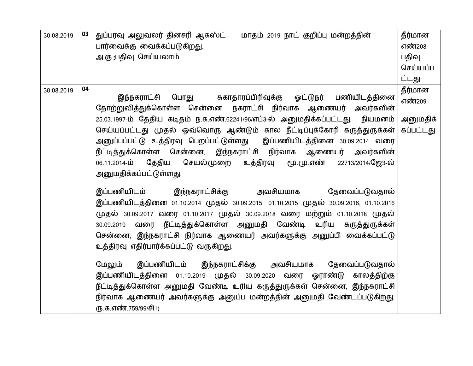| 30.08.2019 | 03 | துப்பரவு அலுவலர் தினசரி ஆகஸ்ட் பாதம் 2019 நாட் குறிப்பு மன்றத்தின்<br>பார்வைக்கு வைக்கப்படுகிறது.<br>அ.கு :பதிவு செய்யலாம்.                                                                                                                                                                                                                                                                                                                                                                                                                                                                                                                                                                                                                                                                                                                                                                                                                                                                                                                                                                                                                                                                                                                                                  | தீர்மான<br>எண்208<br>பதிவு<br>செய்யப்ப     |
|------------|----|------------------------------------------------------------------------------------------------------------------------------------------------------------------------------------------------------------------------------------------------------------------------------------------------------------------------------------------------------------------------------------------------------------------------------------------------------------------------------------------------------------------------------------------------------------------------------------------------------------------------------------------------------------------------------------------------------------------------------------------------------------------------------------------------------------------------------------------------------------------------------------------------------------------------------------------------------------------------------------------------------------------------------------------------------------------------------------------------------------------------------------------------------------------------------------------------------------------------------------------------------------------------------|--------------------------------------------|
|            |    |                                                                                                                                                                                                                                                                                                                                                                                                                                                                                                                                                                                                                                                                                                                                                                                                                                                                                                                                                                                                                                                                                                                                                                                                                                                                              | ட்டது                                      |
| 30.08.2019 | 04 | இந்நகராட்சி பொது சுகாதாரப்பிரிவுக்கு ஓட்டுநர் பணியிடத்தினை<br>தோற்றுவித்துக்கொள்ள சென்னை, நகராட்சி நிர்வாக ஆணையர் அவர்களின்<br>25.03.1997-ம் தேதிய கடிதம் ந.க.எண்.62241/96/எப்3-ல் அனுமதிக்கப்பட்டது. நியமனம்<br>செய்யப்பட்டது முதல் ஒவ்வொரு ஆண்டும் கால நீட்டிப்புக்கோரி கருத்துருக்கள் <br>அனுப்பப்பட்டு உத்திரவு பெறப்பட்டுள்ளது. இப்பணியிடத்தினை 30.09.2014 வரை<br>நீட்டித்துக்கொள்ள சென்னை, இந்நகராட்சி நிர்வாக ஆணையர் அவர்களின்<br>06.11.2014-ம் தேதிய செயல்முறை உத்திரவு மூ.மு.எண் 22713/2014/ஜே3-ல்<br>அனுமதிக்கப்பட்டுள்ளது.<br>இப்பணியிடம் இந்நகராட்சிக்கு அவசியமாக தேவைப்படுவதால்<br>இப்பணியிடத்தினை 01.10.2014 முதல் 30.09.2015, 01.10.2015 முதல் 30.09.2016, 01.10.2016<br>முதல் 30.09.2017 வரை 01.10.2017 முதல் 30.09.2018 வரை மற்றும் 01.10.2018 முதல்<br>30.09.2019 வரை நீட்டித்துக்கொள்ள அனுமதி வேண்டி உரிய கருத்துருக்கள்<br>சென்னை, இந்நகராட்சி நிர்வாக ஆணையர் அவர்களுக்கு அனுப்பி வைக்கப்பட்டு<br>உத்திரவு எதிர்பார்க்கப்பட்டு வருகிறது.<br>மேலும் இப்பணியிடம் இந்நகராட்சிக்கு அவசியமாக தேவைப்படுவதால்<br>இப்பணியிடத்தினை 01.10.2019 முதல் 30.09.2020 வரை ஓராண்டு காலத்திற்கு<br>நீட்டித்துக்கொள்ள அனுமதி வேண்டி உரிய கருத்துருக்கள் சென்னை, இந்நகராட்சி<br>நிர்வாக ஆணையர் அவர்களுக்கு அனுப்ப மன்றத்தின் அனுமதி வேண்டப்படுகிறது.<br>(ந.க.எண்.759/99/சி1) | தீர்மான<br>எண்209<br>அனுமதிக்<br>கப்பட்டது |
|            |    |                                                                                                                                                                                                                                                                                                                                                                                                                                                                                                                                                                                                                                                                                                                                                                                                                                                                                                                                                                                                                                                                                                                                                                                                                                                                              |                                            |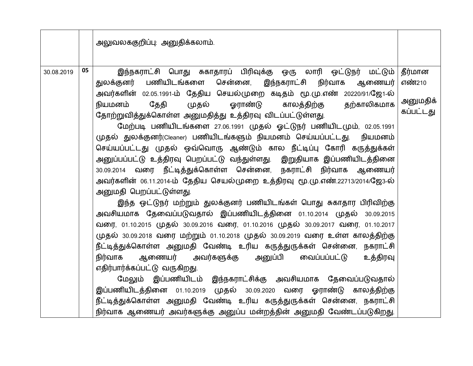|            |    | அலுவலககுறிப்பு: அனுதிக்கலாம்.                                                                                                                                                                                                                                                                                                                                                                                                                                                                                                                                                                                                                                                                                                                                                                                                                                                                                                                                                                                                                                                                                                                                                                                                                                                                                                                                                                                                                                                                                                                                                                                         |                                            |
|------------|----|-----------------------------------------------------------------------------------------------------------------------------------------------------------------------------------------------------------------------------------------------------------------------------------------------------------------------------------------------------------------------------------------------------------------------------------------------------------------------------------------------------------------------------------------------------------------------------------------------------------------------------------------------------------------------------------------------------------------------------------------------------------------------------------------------------------------------------------------------------------------------------------------------------------------------------------------------------------------------------------------------------------------------------------------------------------------------------------------------------------------------------------------------------------------------------------------------------------------------------------------------------------------------------------------------------------------------------------------------------------------------------------------------------------------------------------------------------------------------------------------------------------------------------------------------------------------------------------------------------------------------|--------------------------------------------|
| 30.08.2019 | 05 | இந்நகராட்சி பொது சுகாதாரப் பிரிவுக்கு ஒரு லாரி ஒட்டுநர் மட்டும் <br>துலக்குனர் பணியிடங்களை சென்னை,<br>இந்நகராட்சி நிர்வாக<br>ஆணையர்<br>அவர்களின் 02.05.1991-ம் தேதிய செயல்முறை கடிதம் மூ.மு.எண் 20220/91/ஜே1-ல்<br>முதல் ஓராண்டு<br>தற்காலிகமாக<br>நியமனம்<br>தேதி<br>காலத்திற்கு<br>தோற்றுவித்துக்கொள்ள அனுமதித்து உத்திரவு விடப்பட்டுள்ளது.<br>மேற்படி பணியிடங்களை 27.06.1991 முதல் ஓட்டுநர் பணியிடமும், 02.05.1991<br>முதல் துலக்குனர்(Cleaner) பணியிடங்களும் நியமனம் செய்யப்பட்டது. நியமனம்<br>செய்யப்பட்டது முதல் ஒவ்வொரு ஆண்டும் கால நீட்டிப்பு கோரி கருத்துக்கள்<br>அனுப்பப்பட்டு உத்திரவு பெறப்பட்டு வந்துள்ளது. இறுதியாக இப்பணியிடத்தினை<br>30.09.2014 வரை நீட்டித்துக்கொள்ள சென்னை, நகராட்சி நிர்வாக ஆணையர்<br>அவர்களின் 06.11.2014-ம் தேதிய செயல்முறை உத்திரவு மூ.மு.எண்.22713/2014/ஜே3-ல்<br>அனுமதி பெறப்பட்டுள்ளது.<br>இந்த ஒட்டுநர் மற்றும் துலக்குனர் பணியிடங்கள் பொது சுகாதார பிரிவிற்கு<br>அவசியமாக தேவைப்படுவதால் இப்பணியிடத்தினை 01.10.2014 முதல் 30.09.2015<br>வரை, 01.10.2015 முதல் 30.09.2016 வரை, 01.10.2016 முதல் 30.09.2017 வரை, 01.10.2017<br>முதல் 30.09.2018 வரை மற்றும் 01.10.2018 முதல் 30.09.2019 வரை உள்ள காலத்திற்கு<br>நீட்டித்துக்கொள்ள அனுமதி வேண்டி உரிய கருத்துருக்கள் சென்னை, நகராட்சி<br>ஆணையர் அவர்களுக்கு அனுப்பி வைப்பப்பட்டு<br>உத்திரவு<br>நிர்வாக<br>எதிர்பார்க்கப்பட்டு வருகிறது.<br>மேலும் இப்பணியிடம் இந்நகராட்சிக்கு அவசியமாக தேவைப்படுவதால்<br>இப்பணியிடத்தினை 01.10.2019 முதல் 30.09.2020 வரை ஓராண்டு காலத்திற்கு<br>நீட்டித்துக்கொள்ள அனுமதி வேண்டி உரிய கருத்துருக்கள் சென்னை, நகராட்சி<br>நிர்வாக ஆணையர் அவர்களுக்கு அனுப்ப மன்றத்தின் அனுமதி வேண்டப்படுகிறது. | தீர்மான<br>எண்210<br>அனுமதிக்<br>கப்பட்டது |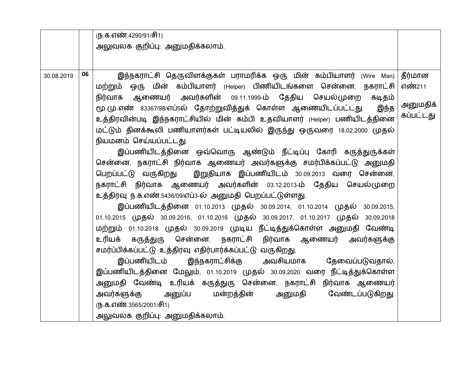|            |    | (ந.க.எண்.4290/91/சி1)                                                                                                                                              |                       |  |  |  |  |  |  |  |
|------------|----|--------------------------------------------------------------------------------------------------------------------------------------------------------------------|-----------------------|--|--|--|--|--|--|--|
|            |    | அலுவலக குறிப்பு: அனுமதிக்கலாம்.                                                                                                                                    |                       |  |  |  |  |  |  |  |
|            |    |                                                                                                                                                                    |                       |  |  |  |  |  |  |  |
| 30.08.2019 | 06 | இந்நகராட்சி தெருவிளக்குகள் பராமரிக்க ஒரு மின் கம்பியாளர் (Wire Man)                                                                                                | தீர்மான               |  |  |  |  |  |  |  |
|            |    | மற்றும் ஒரு மின் கம்பியாளர் (Helper) பிணியிடங்களை சென்னை, நகராட்சி                                                                                                 | எண்211                |  |  |  |  |  |  |  |
|            |    | நிர்வாக ஆணையர் அவர்களின் 09.11.1999-ம் தேதிய செயல்முறை<br>கடிதம்                                                                                                   |                       |  |  |  |  |  |  |  |
|            |    | மூ.மு.எண் 83367/98/எப்5ல் தோற்றுவித்துக் கொள்ள ஆணையிடப்பட்டது.<br>இந்த                                                                                             | அனுமதிக்<br>கப்பட்டது |  |  |  |  |  |  |  |
|            |    | உத்திரவின்படி இந்நகராட்சியில் மின் கம்பி உதவியாளர் (Helper) பணியிடத்தினை                                                                                           |                       |  |  |  |  |  |  |  |
|            |    | மட்டும் தினக்கூலி பணியாளர்கள் பட்டியலில் இருந்து ஒருவரை 18.02.2000 முதல்                                                                                           |                       |  |  |  |  |  |  |  |
|            |    | நியமனம் செய்யப்பட்டது.                                                                                                                                             |                       |  |  |  |  |  |  |  |
|            |    | இப்பணியிடத்தினை ஒவ்வொரு ஆண்டும் நீட்டிப்பு கோரி கருத்துருக்கள்                                                                                                     |                       |  |  |  |  |  |  |  |
|            |    | சென்னை, நகராட்சி நிர்வாக ஆணையர் அவர்களுக்கு சமர்பிக்கப்பட்டு அனுமதி                                                                                                |                       |  |  |  |  |  |  |  |
|            |    | பெறப்பட்டு வருகிறது. இறுதியாக இப்பணியிடம் 30.09.2013 வரை சென்னை,                                                                                                   |                       |  |  |  |  |  |  |  |
|            |    | நகராட்சி நிர்வாக ஆணையர் அவர்களின் 03.12.2013-ம் தேதிய செயல்முறை                                                                                                    |                       |  |  |  |  |  |  |  |
|            |    | உத்திரவு ந.க.எண்.5436/09/எப்3-ல் அனுமதி பெறப்பட்டுள்ளது.                                                                                                           |                       |  |  |  |  |  |  |  |
|            |    | இப்பணியிடத்தினை 01.10.2013 முதல் 30.09.2014, 01.10.2014 முதல் 30.09.2015,<br>01.10.2015 முதல் 30.09.2016, 01.10.2016 முதல் 30.09.2017, 01.10.2017 முதல் 30.09.2018 |                       |  |  |  |  |  |  |  |
|            |    | மற்றும் 01.10.2018 முதல் 30.09.2019 முடிய நீட்டித்துக்கொள்ள அனுமதி வேண்டி                                                                                          |                       |  |  |  |  |  |  |  |
|            |    | உரியக் கருத்துரு சென்னை, நகராட்சி நிர்வாக ஆணையர் அவர்களுக்கு                                                                                                       |                       |  |  |  |  |  |  |  |
|            |    | சமர்ப்பிக்கப்பட்டு உத்திரவு எதிர்பார்க்கப்பட்டு வருகிறது.                                                                                                          |                       |  |  |  |  |  |  |  |
|            |    | இப்பணியிடம் இந்நகராட்சிக்கு அவசியமாக தேவைப்படுவதால்,                                                                                                               |                       |  |  |  |  |  |  |  |
|            |    | இப்பணியிடத்தினை மேலும், 01.10.2019 முதல் 30.09.2020 வரை நீட்டித்துக்கொள்ள                                                                                          |                       |  |  |  |  |  |  |  |
|            |    | அனுமதி வேண்டி உரியக் கருத்துரு சென்னை, நகராட்சி நிர்வாக ஆணையர்                                                                                                     |                       |  |  |  |  |  |  |  |
|            |    | அனுப்ப மன்றத்தின்<br>அனுமதி வேண்டப்படுகிறது.<br>அவர்களுக்கு                                                                                                        |                       |  |  |  |  |  |  |  |
|            |    | (ந.க.எண்.3565/2001/சி1)                                                                                                                                            |                       |  |  |  |  |  |  |  |
|            |    | அலுவலக குறிப்பு: அனுமதிக்கலாம்.                                                                                                                                    |                       |  |  |  |  |  |  |  |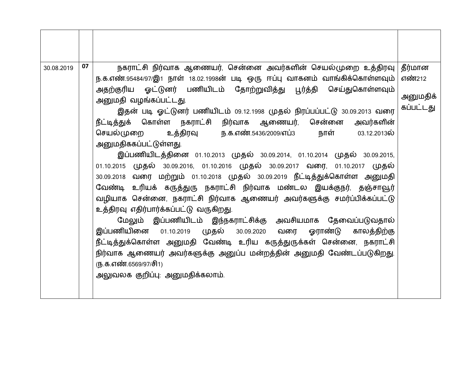| 30.08.2019 | 07 | நகராட்சி நிர்வாக ஆணையர், சென்னை அவர்களின் செயல்முறை உத்திரவு                   | தீர்மான   |  |  |  |  |  |
|------------|----|--------------------------------------------------------------------------------|-----------|--|--|--|--|--|
|            |    | ந.க.எண்.95484/97/இ1 நாள் 18.02.1998ன் படி ஒரு ஈப்பு வாகனம் வாங்கிக்கொள்ளவும்   | எண்212    |  |  |  |  |  |
|            |    | அதற்குரிய ஓட்டுனர் பணியிடம் தோற்றுவித்து பூர்த்தி செய்துகொள்ளவும்              |           |  |  |  |  |  |
|            |    | அனுமதி வழங்கப்பட்டது.                                                          | அனுமதிக்  |  |  |  |  |  |
|            |    | இதன் படி ஓட்டுனர் பணியிடம் 09.12.1998 முதல் நிரப்பப்பட்டு 30.09.2013 வரை       | கப்பட்டது |  |  |  |  |  |
|            |    | நீட்டித்துக் கொள்ள நகராட்சி நிர்வாக ஆணையர், சென்னை<br>அவர்களின்                |           |  |  |  |  |  |
|            |    | உத்திரவு ந.க.எண்.5436/2009/எப்3 நாள் 03.12.2013ல்<br>செயல்முறை                 |           |  |  |  |  |  |
|            |    | அனுமதிககப்பட்டுள்ளது.                                                          |           |  |  |  |  |  |
|            |    | இப்பணியிடத்தினை 01.10.2013 முதல் 30.09.2014, 01.10.2014 முதல் 30.09.2015,      |           |  |  |  |  |  |
|            |    | 01.10.2015 முதல் 30.09.2016, 01.10.2016 முதல் 30.09.2017 வரை, 01.10.2017 முதல் |           |  |  |  |  |  |
|            |    | 30.09.2018 வரை மற்றும் 01.10.2018 முதல் 30.09.2019 நீட்டித்துக்கொள்ள அனுமதி    |           |  |  |  |  |  |
|            |    | வேண்டி உரியக் கருத்துரு நகராட்சி நிர்வாக மண்டல இயக்குநர், தஞ்சாவூர்            |           |  |  |  |  |  |
|            |    | வழியாக சென்னை, நகராட்சி நிர்வாக ஆணையர் அவர்களுக்கு சமர்ப்பிக்கப்பட்டு          |           |  |  |  |  |  |
|            |    | உத்திரவு எதிர்பார்க்கப்பட்டு வருகிறது.                                         |           |  |  |  |  |  |
|            |    | மேலும் இப்பணியிடம் இந்நகராட்சிக்கு அவசியமாக தேவைப்படுவதால்                     |           |  |  |  |  |  |
|            |    | இப்பணியினை 01.10.2019 முதல் 30.09.2020 வரை ஓராண்டு<br>காலத்திற்கு              |           |  |  |  |  |  |
|            |    | நீட்டித்துக்கொள்ள அனுமதி வேண்டி உரிய கருத்துருக்கள் சென்னை, நகராட்சி           |           |  |  |  |  |  |
|            |    | நிர்வாக ஆணையர் அவர்களுக்கு அனுப்ப மன்றத்தின் அனுமதி வேண்டப்படுகிறது.           |           |  |  |  |  |  |
|            |    | (ந.க.எண்.6569/97/சி1)                                                          |           |  |  |  |  |  |
|            |    | அலுவலக குறிப்பு: அனுமதிக்கலாம்.                                                |           |  |  |  |  |  |
|            |    |                                                                                |           |  |  |  |  |  |
|            |    |                                                                                |           |  |  |  |  |  |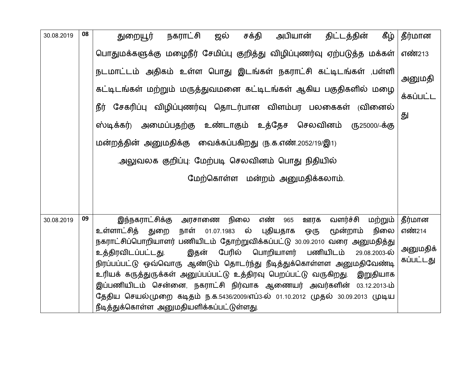| 30.08.2019 | 08 | அபியான்<br>கீழ்<br>நகராட்சி<br>சக்தி<br>திட்டத்தின்<br>ஜல்<br>துறையூர்                                                                              | தீர்மான   |
|------------|----|-----------------------------------------------------------------------------------------------------------------------------------------------------|-----------|
|            |    | பொதுமக்களுக்கு மழைநீர் சேமிப்பு குறித்து விழிப்புணர்வு ஏற்படுத்த மக்கள்                                                                             | எண்213    |
|            |    | நடமாட்டம் அதிகம் உள்ள பொது இடங்கள் நகராட்சி கட்டிடங்கள் ,பள்ளி                                                                                      | அனுமதி    |
|            |    | கட்டிடங்கள் மற்றும் மருத்துவமனை கட்டிடங்கள் ஆகிய பகுதிகளில் மழை                                                                                     | க்கப்பட்ட |
|            |    | நீர் சேகரிப்பு விழிப்புணர்வு தொடர்பான விளம்பர பலகைகள் (வினைல்                                                                                       | து        |
|            |    | ஸ்டிக்கர்) அமைப்பதற்கு உண்டாகும் உத்தேச செலவினம்<br>(ந25000/-க்கு                                                                                   |           |
|            |    | மன்றத்தின் அனுமதிக்கு வைக்கப்பகிறது ரு.க.எண்.2052/19/இ1)                                                                                            |           |
|            |    | .அலுவலக குறிப்பு: மேற்படி செலவினம் பொது நிதியில்                                                                                                    |           |
|            |    | மேற்கொள்ள மன்றம் அனுமதிக்கலாம்.                                                                                                                     |           |
|            |    |                                                                                                                                                     |           |
|            |    |                                                                                                                                                     |           |
| 30.08.2019 | 09 | எண்<br>இந்நகராட்சிக்கு<br>வளர்ச்சி<br>நிலை<br>மற்றும்<br>965<br>அரசாணை<br>ஊரக                                                                       | தீர்மான   |
|            |    | உள்ளாட்சித்<br>புதியதாக<br>நாள்<br>ல்<br>நிலை<br>01.07.1983<br>மூன்றாம்<br>துறை<br>ஒரு                                                              | எண்214    |
|            |    | நகராட்சிப்பொறியாளர் பணியிடம் தோற்றுவிக்கப்பட்டு 30.09.2010 வரை அனுமதித்து                                                                           | அனுமதிக்  |
|            |    | பேரில் பொறியாளர் பணியிடம்<br>உத்திரவிடப்பட்டது.<br>இதன்<br>29.08.2003-ல்                                                                            | கப்பட்டது |
|            |    | நிரப்பப்பட்டு ஒவ்வொரு ஆண்டும் தொடர்ந்து நீடித்துக்கொள்ளள அனுமதிவேண்டி<br>உரியக் கருத்துருக்கள் அனுப்பப்பட்டு உத்திரவு பெறப்பட்டு வருகிறது. இறுதியாக |           |
|            |    | இப்பணியிடம் சென்னை, நகராட்சி நிர்வாக ஆணையர் அவர்களின் 03.12.2013-ம்                                                                                 |           |
|            |    | தேதிய செயல்முறை கடிதம் ந.க.5436/2009/எப்3-ல் 01.10.2012 முதல் 30.09.2013 முடிய                                                                      |           |
|            |    | நீடித்துக்கொள்ள அனுமதியளிக்கப்பட்டுள்ளது.                                                                                                           |           |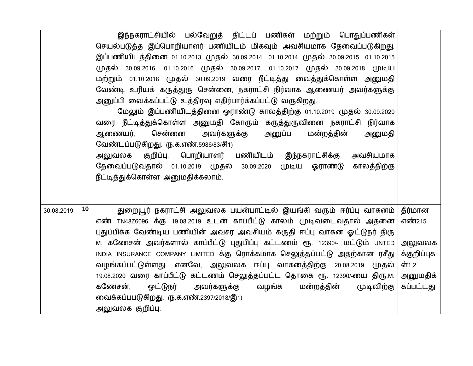|            |    | இந்நகராட்சியில் பல்வேறுத் திட்டப் பணிகள் மற்றும் பொதுப்பணிகள்<br>செயல்படுத்த இப்பொறியாளர் பணியிடம் மிகவும் அவசியமாக தேவைப்படுகிறது.<br>இப்பணியிடத்தினை 01.10.2013 முதல் 30.09.2014, 01.10.2014 முதல் 30.09.2015, 01.10.2015 |                       |
|------------|----|-----------------------------------------------------------------------------------------------------------------------------------------------------------------------------------------------------------------------------|-----------------------|
|            |    | முதல் 30.09.2016, 01.10.2016 முதல் 30.09.2017, 01.10.2017 முதல் 30.09.2018 முடிய                                                                                                                                            |                       |
|            |    | மற்றும் 01.10.2018 முதல் 30.09.2019 வரை நீட்டித்து வைத்துக்கொள்ள அனுமதி<br>வேண்டி உரியக் கருத்துரு சென்னை, நகராட்சி நிர்வாக ஆணையர் அவர்களுக்கு                                                                              |                       |
|            |    | அனுப்பி வைக்கப்பட்டு உத்திரவு எதிர்பார்க்கப்பட்டு வருகிறது.                                                                                                                                                                 |                       |
|            |    | மேலும் இப்பணியிடத்தினை ஓராண்டு காலத்திற்கு 01.10.2019 முதல் 30.09.2020                                                                                                                                                      |                       |
|            |    | வரை நீட்டித்துக்கொள்ள அனுமதி கோரும் கருத்துருவினை நகராட்சி நிர்வாக                                                                                                                                                          |                       |
|            |    | ஆணையர், சென்னை<br>அவர்களுக்கு அனுப்ப<br>மன்றத்தின்<br>அனுமதி                                                                                                                                                                |                       |
|            |    | வேண்டப்படுகிறது. ரு.க.எண்.5986/83/சி1)                                                                                                                                                                                      |                       |
|            |    | அலுவலக குறிப்பு: பொறியாளர் பணியிடம் இந்நகராட்சிக்கு<br>அவசியமாக                                                                                                                                                             |                       |
|            |    | தேவைப்படுவதால் 01.10.2019 முதல் 30.09.2020 முடிய ஓராண்டு காலத்திற்கு<br>நீட்டித்துக்கொள்ள அனுமதிக்கலாம்.                                                                                                                    |                       |
|            |    |                                                                                                                                                                                                                             |                       |
|            |    |                                                                                                                                                                                                                             |                       |
| 30.08.2019 | 10 | துறையூர் நகராட்சி அலுவலக பயன்பாட்டில் இயங்கி வரும் ஈர்ப்பு வாகனம்   தீர்மான                                                                                                                                                 |                       |
|            |    | எண் TN48Z6096 க்கு 19.08.2019 உடன் காப்பீட்டு காலம் முடிவடைவதால் அதனை                                                                                                                                                       | எண்215                |
|            |    | புதுப்பிக்க வேண்டிய பணியின் அவசர அவசியம் கருதி ஈப்பு வாகன ஓட்டுநர் திரு                                                                                                                                                     |                       |
|            |    | м. கணேசன் அவர்களால் காப்பீட்டு புதுபிப்பு கட்டணம் ரூ. 12390/- மட்டும் UNTED                                                                                                                                                 | அலுவலக                |
|            |    | INDIA INSURANCE COMPANY LIMITED க்கு ரொக்கமாக செலுத்தப்பட்டு அதற்கான ரசீது                                                                                                                                                  | க்குறிப்புக           |
|            |    | வழங்கப்பட்டுள்ளது. எனவே, அலுவலக ஈப்பு வாகனத்திற்கு 20.08.2019 முதல்                                                                                                                                                         | ள்1,2                 |
|            |    | 19.08.2020 வரை காப்பீட்டு கட்டணம் செலுத்தப்பட்ட தொகை ரூ. 12390/-யை திரு.м.<br>ஓட்டுநர்<br>அவர்களுக்கு<br>மன்றத்தின்<br>கணேசன்,<br>வழங்க<br>முடிவிற்கு                                                                       | அனுமதிக்<br>கப்பட்டது |
|            |    | வைக்கப்பபடுகிறது. ரு.க.எண்.2397/2018/இ1)                                                                                                                                                                                    |                       |
|            |    |                                                                                                                                                                                                                             |                       |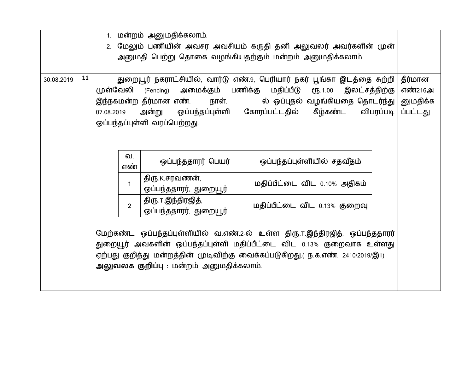|            |    | 1. மன்றம் அனுமதிக்கலாம்.                                                           |             |                                                        |                                                                                    |          |  |  |
|------------|----|------------------------------------------------------------------------------------|-------------|--------------------------------------------------------|------------------------------------------------------------------------------------|----------|--|--|
|            |    | மேலும் பணியின் அவசர அவசியம் கருதி தனி அலுவலர் அவர்களின் முன்<br>2.                 |             |                                                        |                                                                                    |          |  |  |
|            |    |                                                                                    |             |                                                        | அனுமதி பெற்று தொகை வழங்கியதற்கும் மன்றம் அனுமதிக்கலாம்.                            |          |  |  |
|            |    |                                                                                    |             |                                                        |                                                                                    |          |  |  |
| 30.08.2019 | 11 | துறையூர் நகராட்சியில், வார்டு எண்.9, பெரியார் நகர் பூங்கா இடத்தை சுற்றி<br>தீர்மான |             |                                                        |                                                                                    |          |  |  |
|            |    |                                                                                    |             | முள்வேலி (Fencing) அமைக்கும் பணிக்கு மதிப்பீடு ரூ.1.00 | இலட்சத்திற்கு                                                                      | எண்216அ  |  |  |
|            |    |                                                                                    |             |                                                        | இந்நகமன்ற தீர்மான எண்.        நாள்.             ல்  ஒப்புதல்  வழங்கியதை  தொடர்ந்து | னுமதிக்க |  |  |
|            |    | 07.08.2019                                                                         |             |                                                        | அன்று ஒப்பந்தப்புள்ளி கோரப்பட்டதில் கீழ்கண்ட விபரப்படி                             | ப்பட்டது |  |  |
|            |    |                                                                                    |             | ஒப்பந்தப்புள்ளி வரப்பெற்றது.                           |                                                                                    |          |  |  |
|            |    |                                                                                    |             |                                                        |                                                                                    |          |  |  |
|            |    |                                                                                    |             |                                                        |                                                                                    |          |  |  |
|            |    |                                                                                    | வ.          |                                                        |                                                                                    |          |  |  |
|            |    |                                                                                    | எண்         | ஒப்பந்ததாரர் பெயர்                                     | ஒப்பந்தப்புள்ளியில் சதவீதம்                                                        |          |  |  |
|            |    | <b>திரு K.சரவணன்,</b>                                                              |             |                                                        |                                                                                    |          |  |  |
|            |    |                                                                                    | $\mathbf 1$ | ஒப்பந்ததாரர், துறையூர்                                 | மதிப்பீட்டை விட 0.10% அதிகம்                                                       |          |  |  |
|            |    |                                                                                    |             | திரு. ர. இந்திரஜித்,                                   |                                                                                    |          |  |  |
|            |    | மதிப்பீட்டை விட 0.13% குறைவு<br>$\overline{2}$<br>ஒப்பந்ததாரர், துறையூர்           |             |                                                        |                                                                                    |          |  |  |
|            |    |                                                                                    |             |                                                        |                                                                                    |          |  |  |
|            |    | மேற்கண்ட ஒப்பந்தப்புள்ளியில் வ.எண்.2-ல் உள்ள திரு. ர.இந்திரஜித், ஒப்பந்ததாரர்      |             |                                                        |                                                                                    |          |  |  |
|            |    | துறையூர் அவகளின் ஒப்பந்தப்புள்ளி மதிப்பீட்டை விட 0.13% குறைவாக உள்ளது              |             |                                                        |                                                                                    |          |  |  |
|            |    | ஏற்பது குறித்து மன்றத்தின் முடிவிற்கு வைக்கப்படுகிறது.( ந.க.எண். 2410/2019/இ1)     |             |                                                        |                                                                                    |          |  |  |
|            |    | அலுவலக குறிப்பு: மன்றம் அனுமதிக்கலாம்.                                             |             |                                                        |                                                                                    |          |  |  |
|            |    |                                                                                    |             |                                                        |                                                                                    |          |  |  |
|            |    |                                                                                    |             |                                                        |                                                                                    |          |  |  |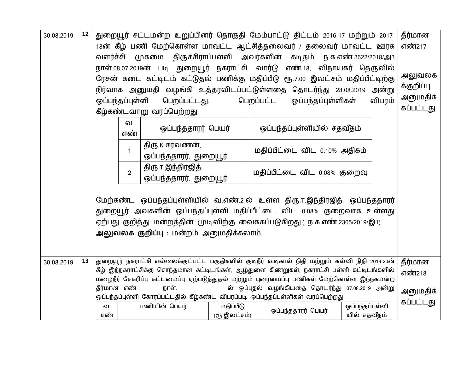| 30.08.2019 | 12 | துறையூர் சட்டமன்ற உறுப்பினர் தொகுதி மேம்பாட்டு திட்டம் 2016-17 மற்றும் 2017-<br>தீர்மான<br>18ன் கீழ் பணி மேற்கொள்ள மாவட்ட ஆட்சித்தலைவர் / தலைவர் மாவட்ட ஊரக<br>எண்217<br>வளர்ச்சி முகமை திருச்சிராப்பள்ளி அவர்களின் கடிதம் ந.க.எண்.3622/2018/அ3<br>நாள்.08.07.2019ன் படி துறையூர் நகராட்சி, வார்டு எண்.18, விநாயகர் தெருவில்<br>அலுவலக<br>ரேசன் கடை கட்டிடம் கட்டுதல் பணிக்கு மதிப்பீடு ரூ.7.00 இலட்சம் மதிப்பீட்டிற்கு<br>க்குறிப்பு<br>நிர்வாக அனுமதி வழங்கி உத்தரவிடப்பட்டுள்ளதை தொடர்ந்து 28.08.2019 அன்று<br>அனுமதிக்<br>பெறப்பட்ட ஒப்பந்தப்புள்ளிகள்<br>ஒப்பந்தப்புள்ளி<br>பெறப்பட்டது.<br>விபரம்<br>கப்பட்டது<br>கீழ்கண்டவாறு வரப்பெற்றது. |  |  |  |  |  |  |  |
|------------|----|---------------------------------------------------------------------------------------------------------------------------------------------------------------------------------------------------------------------------------------------------------------------------------------------------------------------------------------------------------------------------------------------------------------------------------------------------------------------------------------------------------------------------------------------------------------------------------------------------------------------------------------------------|--|--|--|--|--|--|--|
|            |    | வ.<br>ஒப்பந்தப்புள்ளியில் சதவீதம்<br>ஒப்பந்ததாரர் பெயர்<br>எண்                                                                                                                                                                                                                                                                                                                                                                                                                                                                                                                                                                                    |  |  |  |  |  |  |  |
|            |    | திரு.K.சரவணன்,<br>மதிப்பீட்டை விட 0.10% அதிகம்<br>$\mathbf 1$<br>ஒப்பந்ததாரர், துறையூர்                                                                                                                                                                                                                                                                                                                                                                                                                                                                                                                                                           |  |  |  |  |  |  |  |
|            |    | மதிப்பீட்டை விட 0.08% குறைவு<br>$\overline{2}$<br>ஒப்பந்ததாரர், துறையூர்                                                                                                                                                                                                                                                                                                                                                                                                                                                                                                                                                                          |  |  |  |  |  |  |  |
|            |    | மேற்கண்ட ஒப்பந்தப்புள்ளியில் வ.எண்.2-ல் உள்ள திரு. ர.இந்திரஜித், ஒப்பந்ததாரர்<br>துறையூர் அவகளின் ஒப்பந்தப்புள்ளி மதிப்பீட்டை விட 0.08% குறைவாக உள்ளது<br>ஏற்பது குறித்து மன்றத்தின் முடிவிற்கு வைக்கப்படுகிறது.( ந.க.எண்.2305/2019/இ1)<br>அலுவலக குறிப்பு : மன்றம் அனுமதிக்கலாம்.                                                                                                                                                                                                                                                                                                                                                                |  |  |  |  |  |  |  |
| 30.08.2019 | 13 | துறையூர் நகராட்சி எல்லைக்குட்பட்ட பகுதிகளில் குடிநீர் வடிகால் நிதி மற்றும் கல்வி நிதி 2019-20ன்<br>தீர்மான<br>கீழ் இந்நகராட்சிக்கு சொந்தமான கட்டிடங்கள், ஆழ்துளை கிணறுகள், நகராட்சி பள்ளி கட்டிடங்களில்                                                                                                                                                                                                                                                                                                                                                                                                                                           |  |  |  |  |  |  |  |
|            |    | எண்218<br>மழைநீர் சேகரிப்பு கட்டமைப்பு ஏற்படுத்துதல் மற்றும் புனரமைப்பு பணிகள் மேற்கொள்ள இந்நகமன்ற                                                                                                                                                                                                                                                                                                                                                                                                                                                                                                                                                |  |  |  |  |  |  |  |
|            |    | தீர்மான எண்.<br>நாள்.<br>ல் ஒப்புதல் வழங்கியதை தொடர்ந்து 07.08.2019 அன்று<br>அனுமதிக்<br>ஒப்பந்தப்புள்ளி கோரப்பட்டதில் கீழ்கண்ட விபரப்படி ஒப்பந்தப்புள்ளிகள் வரப்பெற்றது.                                                                                                                                                                                                                                                                                                                                                                                                                                                                         |  |  |  |  |  |  |  |
|            |    | கப்பட்டது<br>பணியின் பெயர்<br>மதிப்பீடு<br>ஒப்பந்தப்புள்ளி<br>வ.<br>ஒப்பந்ததாரர் பெயர்<br>யில் சதவீதம்<br>(ரூ.இலட்சம்)<br>எண்                                                                                                                                                                                                                                                                                                                                                                                                                                                                                                                     |  |  |  |  |  |  |  |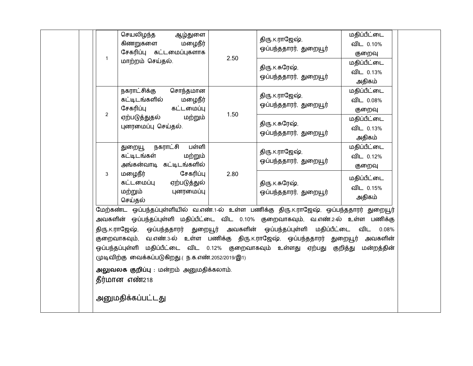|                | செயலிழந்த<br>ஆழ்துளை<br>கிணறுகளை<br>மழைநீர்<br>சேகரிப்பு கட்டமைப்புகளாக                                                                                                                                                                                                                                                                                                                                                                                                                                                                                                      |      | திரு. K.ராஜேஷ்,<br>ஒப்பந்ததாரர், துறையூர்  | மதிப்பீட்டை<br>விட 0.10%<br>குறைவு |  |  |
|----------------|------------------------------------------------------------------------------------------------------------------------------------------------------------------------------------------------------------------------------------------------------------------------------------------------------------------------------------------------------------------------------------------------------------------------------------------------------------------------------------------------------------------------------------------------------------------------------|------|--------------------------------------------|------------------------------------|--|--|
| $\mathbf{1}$   | மாற்றம் செய்தல்.                                                                                                                                                                                                                                                                                                                                                                                                                                                                                                                                                             | 2.50 | திரு டகரேஷ்,<br>ஒப்பந்ததாரர், துறையூர்     | மதிப்பீட்டை<br>விட 0.13%<br>அதிகம் |  |  |
|                | நகராட்சிக்கு<br>சொந்தமான<br>கட்டிடங்களில்<br>மழைநீர்<br>சேகரிப்பு<br>கட்டமைப்பு                                                                                                                                                                                                                                                                                                                                                                                                                                                                                              |      | திரு K.ராஜேஷ்,<br>ஒப்பந்ததாரர், துறையூர்   | மதிப்பீட்டை<br>விட 0.08%<br>குறைவு |  |  |
| $\overline{2}$ | ஏற்படுத்துதல்<br>மற்றும்<br>புனரமைப்பு செய்தல்.                                                                                                                                                                                                                                                                                                                                                                                                                                                                                                                              | 1.50 | திரு. K. சுரேஷ்,<br>ஒப்பந்ததாரர், துறையூர் | மதிப்பீட்டை<br>விட 0.13%<br>அதிகம் |  |  |
|                | பள்ளி<br>நகராட்சி<br>துறையூ<br>கட்டிடங்கள்<br>மற்றும்<br>அங்கன்வாடி கட்டிடங்களில்                                                                                                                                                                                                                                                                                                                                                                                                                                                                                            |      | திரு K.ராஜேஷ்,<br>ஒப்பந்ததாரர், துறையூர்   | மதிப்பீட்டை<br>விட 0.12%<br>குறைவு |  |  |
| 3              | சேகரிப்பு<br>மழைநீர்<br>கட்டமைப்பு<br>ஏற்படுத்துல்<br>மற்றும்<br>புனரமைப்பு<br>செய்தல்                                                                                                                                                                                                                                                                                                                                                                                                                                                                                       | 2.80 | திரு. K. சுரேஷ்,<br>ஒப்பந்ததாரர், துறையூர் | மதிப்பீட்டை<br>விட 0.15%<br>அதிகம் |  |  |
|                | மேற்கண்ட ஒப்பந்தப்புள்ளியில் வ.எண்.1-ல் உள்ள பணிக்கு திரு.K.ராஜேஷ், ஒப்பந்ததாரர் துறையூர்<br>அவகளின் ஒப்பந்தப்புள்ளி மதிப்பீட்டை விட 0.10% குறைவாகவும், வ.எண்.2-ல் உள்ள பணிக்கு<br>திரு.K.ராஜேஷ், ஒப்பந்ததாரர் துறையூர் அவகளின் ஒப்பந்தப்புள்ளி மதிப்பீட்டை விட<br>0.08%<br>குறைவாகவும், வ.எண்.3-ல் உள்ள பணிக்கு திரு.K.ராஜேஷ், ஒப்பந்ததாரர் துறையூர்<br>அவகளின்<br>ஒப்பந்தப்புள்ளி மதிப்பீட்டை விட 0.12% குறைவாகவும் உள்ளது ஏற்பது குறித்து<br>மன்றத்தின்<br>முடிவிற்கு வைக்கப்படுகிறது. (ந.க.எண்.2052/2019/இ1)<br>அலுவலக குறிப்பு: மன்றம் அனுமதிக்கலாம்.<br>தீர்மான எண்218 |      |                                            |                                    |  |  |
|                | அனுமதிக்கப்பட்டது                                                                                                                                                                                                                                                                                                                                                                                                                                                                                                                                                            |      |                                            |                                    |  |  |